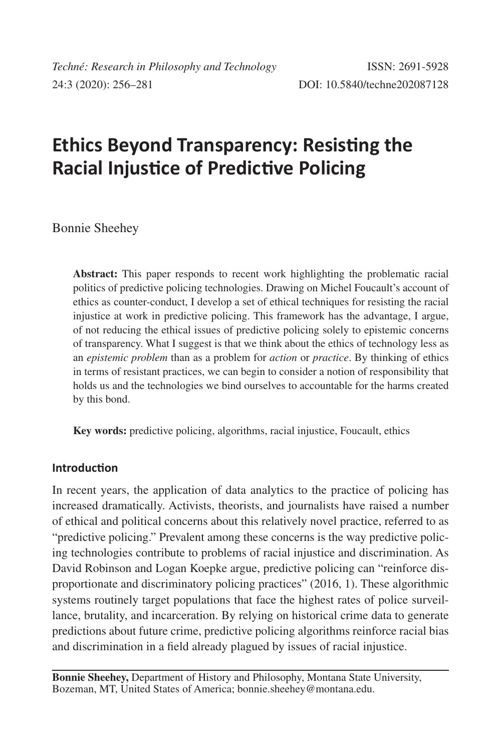# **Ethics Beyond Transparency: Resisting the Racial Injustice of Predictive Policing**

Bonnie Sheehey

**Abstract:** This paper responds to recent work highlighting the problematic racial politics of predictive policing technologies. Drawing on Michel Foucault's account of ethics as counter-conduct, I develop a set of ethical techniques for resisting the racial injustice at work in predictive policing. This framework has the advantage, I argue, of not reducing the ethical issues of predictive policing solely to epistemic concerns of transparency. What I suggest is that we think about the ethics of technology less as an *epistemic problem* than as a problem for *action* or *practice*. By thinking of ethics in terms of resistant practices, we can begin to consider a notion of responsibility that holds us and the technologies we bind ourselves to accountable for the harms created by this bond.

**Key words:** predictive policing, algorithms, racial injustice, Foucault, ethics

# **Introduction**

In recent years, the application of data analytics to the practice of policing has increased dramatically. Activists, theorists, and journalists have raised a number of ethical and political concerns about this relatively novel practice, referred to as "predictive policing." Prevalent among these concerns is the way predictive policing technologies contribute to problems of racial injustice and discrimination. As David Robinson and Logan Koepke argue, predictive policing can "reinforce disproportionate and discriminatory policing practices" (2016, 1). These algorithmic systems routinely target populations that face the highest rates of police surveillance, brutality, and incarceration. By relying on historical crime data to generate predictions about future crime, predictive policing algorithms reinforce racial bias and discrimination in a field already plagued by issues of racial injustice.

**Bonnie Sheehey,** Department of History and Philosophy, Montana State University, Bozeman, MT, United States of America; bonnie.sheehey@montana.edu.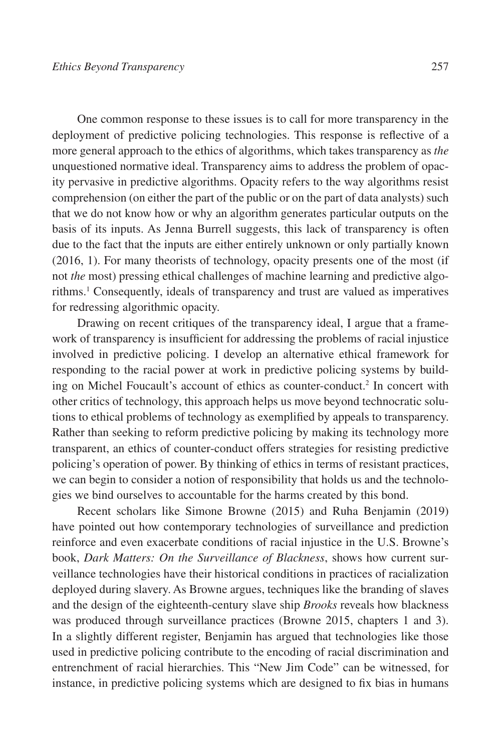One common response to these issues is to call for more transparency in the deployment of predictive policing technologies. This response is reflective of a more general approach to the ethics of algorithms, which takes transparency as *the* unquestioned normative ideal. Transparency aims to address the problem of opacity pervasive in predictive algorithms. Opacity refers to the way algorithms resist comprehension (on either the part of the public or on the part of data analysts) such that we do not know how or why an algorithm generates particular outputs on the basis of its inputs. As Jenna Burrell suggests, this lack of transparency is often due to the fact that the inputs are either entirely unknown or only partially known (2016, 1). For many theorists of technology, opacity presents one of the most (if not *the* most) pressing ethical challenges of machine learning and predictive algorithms.1 Consequently, ideals of transparency and trust are valued as imperatives for redressing algorithmic opacity.

Drawing on recent critiques of the transparency ideal, I argue that a framework of transparency is insufficient for addressing the problems of racial injustice involved in predictive policing. I develop an alternative ethical framework for responding to the racial power at work in predictive policing systems by building on Michel Foucault's account of ethics as counter-conduct.2 In concert with other critics of technology, this approach helps us move beyond technocratic solutions to ethical problems of technology as exemplified by appeals to transparency. Rather than seeking to reform predictive policing by making its technology more transparent, an ethics of counter-conduct offers strategies for resisting predictive policing's operation of power. By thinking of ethics in terms of resistant practices, we can begin to consider a notion of responsibility that holds us and the technologies we bind ourselves to accountable for the harms created by this bond.

Recent scholars like Simone Browne (2015) and Ruha Benjamin (2019) have pointed out how contemporary technologies of surveillance and prediction reinforce and even exacerbate conditions of racial injustice in the U.S. Browne's book, *Dark Matters: On the Surveillance of Blackness*, shows how current surveillance technologies have their historical conditions in practices of racialization deployed during slavery. As Browne argues, techniques like the branding of slaves and the design of the eighteenth-century slave ship *Brooks* reveals how blackness was produced through surveillance practices (Browne 2015, chapters 1 and 3). In a slightly different register, Benjamin has argued that technologies like those used in predictive policing contribute to the encoding of racial discrimination and entrenchment of racial hierarchies. This "New Jim Code" can be witnessed, for instance, in predictive policing systems which are designed to fix bias in humans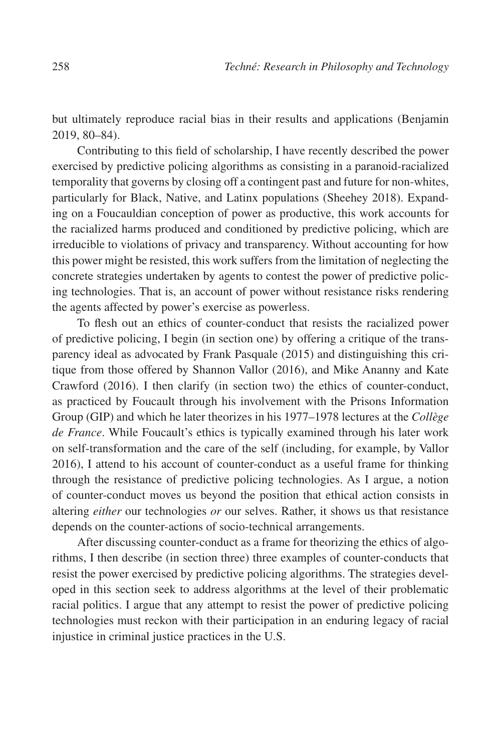but ultimately reproduce racial bias in their results and applications (Benjamin 2019, 80–84).

Contributing to this field of scholarship, I have recently described the power exercised by predictive policing algorithms as consisting in a paranoid-racialized temporality that governs by closing off a contingent past and future for non-whites, particularly for Black, Native, and Latinx populations (Sheehey 2018). Expanding on a Foucauldian conception of power as productive, this work accounts for the racialized harms produced and conditioned by predictive policing, which are irreducible to violations of privacy and transparency. Without accounting for how this power might be resisted, this work suffers from the limitation of neglecting the concrete strategies undertaken by agents to contest the power of predictive policing technologies. That is, an account of power without resistance risks rendering the agents affected by power's exercise as powerless.

To flesh out an ethics of counter-conduct that resists the racialized power of predictive policing, I begin (in section one) by offering a critique of the transparency ideal as advocated by Frank Pasquale (2015) and distinguishing this critique from those offered by Shannon Vallor (2016), and Mike Ananny and Kate Crawford (2016). I then clarify (in section two) the ethics of counter-conduct, as practiced by Foucault through his involvement with the Prisons Information Group (GIP) and which he later theorizes in his 1977–1978 lectures at the *Collège de France*. While Foucault's ethics is typically examined through his later work on self-transformation and the care of the self (including, for example, by Vallor 2016), I attend to his account of counter-conduct as a useful frame for thinking through the resistance of predictive policing technologies. As I argue, a notion of counter-conduct moves us beyond the position that ethical action consists in altering *either* our technologies *or* our selves. Rather, it shows us that resistance depends on the counter-actions of socio-technical arrangements.

After discussing counter-conduct as a frame for theorizing the ethics of algorithms, I then describe (in section three) three examples of counter-conducts that resist the power exercised by predictive policing algorithms. The strategies developed in this section seek to address algorithms at the level of their problematic racial politics. I argue that any attempt to resist the power of predictive policing technologies must reckon with their participation in an enduring legacy of racial injustice in criminal justice practices in the U.S.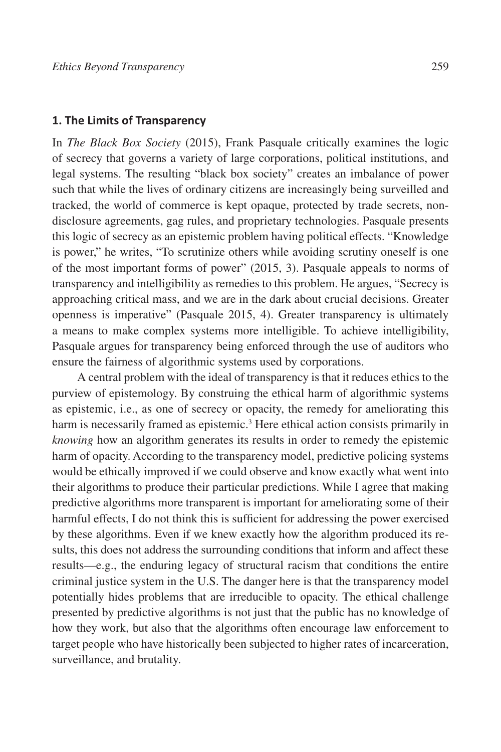#### **1. The Limits of Transparency**

In *The Black Box Society* (2015), Frank Pasquale critically examines the logic of secrecy that governs a variety of large corporations, political institutions, and legal systems. The resulting "black box society" creates an imbalance of power such that while the lives of ordinary citizens are increasingly being surveilled and tracked, the world of commerce is kept opaque, protected by trade secrets, nondisclosure agreements, gag rules, and proprietary technologies. Pasquale presents this logic of secrecy as an epistemic problem having political effects. "Knowledge is power," he writes, "To scrutinize others while avoiding scrutiny oneself is one of the most important forms of power" (2015, 3). Pasquale appeals to norms of transparency and intelligibility as remedies to this problem. He argues, "Secrecy is approaching critical mass, and we are in the dark about crucial decisions. Greater openness is imperative" (Pasquale 2015, 4). Greater transparency is ultimately a means to make complex systems more intelligible. To achieve intelligibility, Pasquale argues for transparency being enforced through the use of auditors who ensure the fairness of algorithmic systems used by corporations.

A central problem with the ideal of transparency is that it reduces ethics to the purview of epistemology. By construing the ethical harm of algorithmic systems as epistemic, i.e., as one of secrecy or opacity, the remedy for ameliorating this harm is necessarily framed as epistemic.<sup>3</sup> Here ethical action consists primarily in *knowing* how an algorithm generates its results in order to remedy the epistemic harm of opacity. According to the transparency model, predictive policing systems would be ethically improved if we could observe and know exactly what went into their algorithms to produce their particular predictions. While I agree that making predictive algorithms more transparent is important for ameliorating some of their harmful effects, I do not think this is sufficient for addressing the power exercised by these algorithms. Even if we knew exactly how the algorithm produced its results, this does not address the surrounding conditions that inform and affect these results—e.g., the enduring legacy of structural racism that conditions the entire criminal justice system in the U.S. The danger here is that the transparency model potentially hides problems that are irreducible to opacity. The ethical challenge presented by predictive algorithms is not just that the public has no knowledge of how they work, but also that the algorithms often encourage law enforcement to target people who have historically been subjected to higher rates of incarceration, surveillance, and brutality.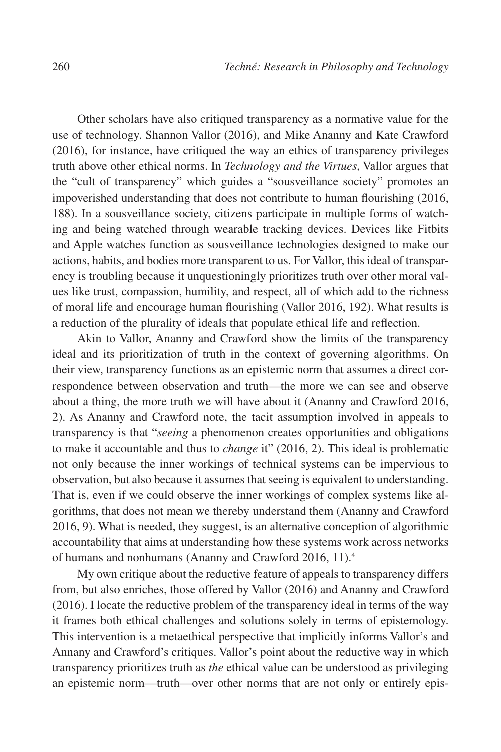Other scholars have also critiqued transparency as a normative value for the use of technology. Shannon Vallor (2016), and Mike Ananny and Kate Crawford (2016), for instance, have critiqued the way an ethics of transparency privileges truth above other ethical norms. In *Technology and the Virtues*, Vallor argues that the "cult of transparency" which guides a "sousveillance society" promotes an impoverished understanding that does not contribute to human flourishing (2016, 188). In a sousveillance society, citizens participate in multiple forms of watching and being watched through wearable tracking devices. Devices like Fitbits and Apple watches function as sousveillance technologies designed to make our actions, habits, and bodies more transparent to us. For Vallor, this ideal of transparency is troubling because it unquestioningly prioritizes truth over other moral values like trust, compassion, humility, and respect, all of which add to the richness of moral life and encourage human flourishing (Vallor 2016, 192). What results is a reduction of the plurality of ideals that populate ethical life and reflection.

Akin to Vallor, Ananny and Crawford show the limits of the transparency ideal and its prioritization of truth in the context of governing algorithms. On their view, transparency functions as an epistemic norm that assumes a direct correspondence between observation and truth—the more we can see and observe about a thing, the more truth we will have about it (Ananny and Crawford 2016, 2). As Ananny and Crawford note, the tacit assumption involved in appeals to transparency is that "*seeing* a phenomenon creates opportunities and obligations to make it accountable and thus to *change* it" (2016, 2). This ideal is problematic not only because the inner workings of technical systems can be impervious to observation, but also because it assumes that seeing is equivalent to understanding. That is, even if we could observe the inner workings of complex systems like algorithms, that does not mean we thereby understand them (Ananny and Crawford 2016, 9). What is needed, they suggest, is an alternative conception of algorithmic accountability that aims at understanding how these systems work across networks of humans and nonhumans (Ananny and Crawford 2016, 11).4

My own critique about the reductive feature of appeals to transparency differs from, but also enriches, those offered by Vallor (2016) and Ananny and Crawford (2016). I locate the reductive problem of the transparency ideal in terms of the way it frames both ethical challenges and solutions solely in terms of epistemology. This intervention is a metaethical perspective that implicitly informs Vallor's and Annany and Crawford's critiques. Vallor's point about the reductive way in which transparency prioritizes truth as *the* ethical value can be understood as privileging an epistemic norm—truth—over other norms that are not only or entirely epis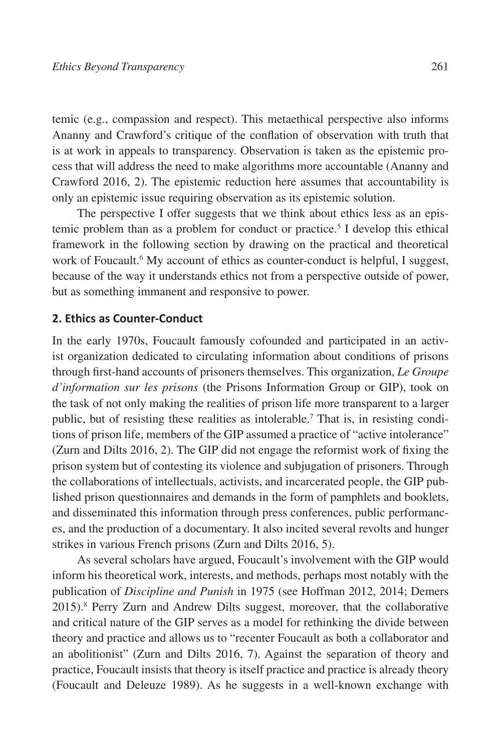temic (e.g., compassion and respect). This metaethical perspective also informs Ananny and Crawford's critique of the conflation of observation with truth that is at work in appeals to transparency. Observation is taken as the epistemic process that will address the need to make algorithms more accountable (Ananny and Crawford 2016, 2). The epistemic reduction here assumes that accountability is only an epistemic issue requiring observation as its epistemic solution.

The perspective I offer suggests that we think about ethics less as an epistemic problem than as a problem for conduct or practice.<sup>5</sup> I develop this ethical framework in the following section by drawing on the practical and theoretical work of Foucault.<sup>6</sup> My account of ethics as counter-conduct is helpful, I suggest, because of the way it understands ethics not from a perspective outside of power, but as something immanent and responsive to power.

## **2. Ethics as Counter-Conduct**

In the early 1970s, Foucault famously cofounded and participated in an activist organization dedicated to circulating information about conditions of prisons through first-hand accounts of prisoners themselves. This organization, *Le Groupe d'information sur les prisons* (the Prisons Information Group or GIP), took on the task of not only making the realities of prison life more transparent to a larger public, but of resisting these realities as intolerable.<sup>7</sup> That is, in resisting conditions of prison life, members of the GIP assumed a practice of "active intolerance" (Zurn and Dilts 2016, 2). The GIP did not engage the reformist work of fixing the prison system but of contesting its violence and subjugation of prisoners. Through the collaborations of intellectuals, activists, and incarcerated people, the GIP published prison questionnaires and demands in the form of pamphlets and booklets, and disseminated this information through press conferences, public performances, and the production of a documentary. It also incited several revolts and hunger strikes in various French prisons (Zurn and Dilts 2016, 5).

As several scholars have argued, Foucault's involvement with the GIP would inform his theoretical work, interests, and methods, perhaps most notably with the publication of *Discipline and Punish* in 1975 (see Hoffman 2012, 2014; Demers 2015).8 Perry Zurn and Andrew Dilts suggest, moreover, that the collaborative and critical nature of the GIP serves as a model for rethinking the divide between theory and practice and allows us to "recenter Foucault as both a collaborator and an abolitionist" (Zurn and Dilts 2016, 7). Against the separation of theory and practice, Foucault insists that theory is itself practice and practice is already theory (Foucault and Deleuze 1989). As he suggests in a well-known exchange with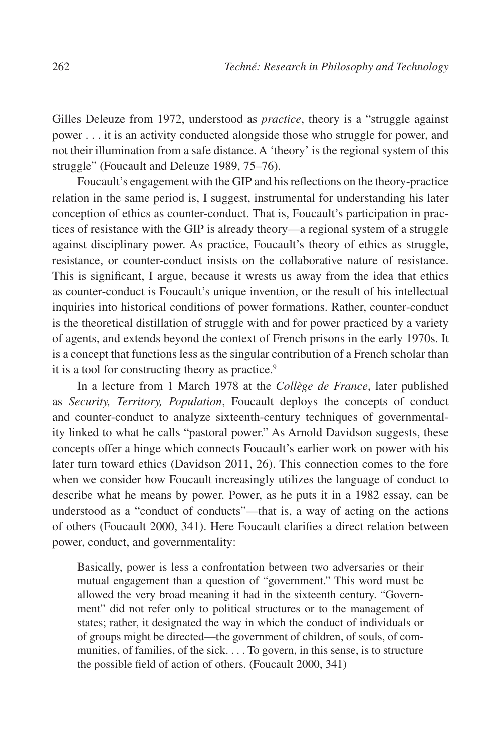Gilles Deleuze from 1972, understood as *practice*, theory is a "struggle against power . . . it is an activity conducted alongside those who struggle for power, and not their illumination from a safe distance. A 'theory' is the regional system of this struggle" (Foucault and Deleuze 1989, 75–76).

Foucault's engagement with the GIP and his reflections on the theory-practice relation in the same period is, I suggest, instrumental for understanding his later conception of ethics as counter-conduct. That is, Foucault's participation in practices of resistance with the GIP is already theory—a regional system of a struggle against disciplinary power. As practice, Foucault's theory of ethics as struggle, resistance, or counter-conduct insists on the collaborative nature of resistance. This is significant, I argue, because it wrests us away from the idea that ethics as counter-conduct is Foucault's unique invention, or the result of his intellectual inquiries into historical conditions of power formations. Rather, counter-conduct is the theoretical distillation of struggle with and for power practiced by a variety of agents, and extends beyond the context of French prisons in the early 1970s. It is a concept that functions less as the singular contribution of a French scholar than it is a tool for constructing theory as practice.<sup>9</sup>

In a lecture from 1 March 1978 at the *Collège de France*, later published as *Security, Territory, Population*, Foucault deploys the concepts of conduct and counter-conduct to analyze sixteenth-century techniques of governmentality linked to what he calls "pastoral power." As Arnold Davidson suggests, these concepts offer a hinge which connects Foucault's earlier work on power with his later turn toward ethics (Davidson 2011, 26). This connection comes to the fore when we consider how Foucault increasingly utilizes the language of conduct to describe what he means by power. Power, as he puts it in a 1982 essay, can be understood as a "conduct of conducts"—that is, a way of acting on the actions of others (Foucault 2000, 341). Here Foucault clarifies a direct relation between power, conduct, and governmentality:

Basically, power is less a confrontation between two adversaries or their mutual engagement than a question of "government." This word must be allowed the very broad meaning it had in the sixteenth century. "Government" did not refer only to political structures or to the management of states; rather, it designated the way in which the conduct of individuals or of groups might be directed—the government of children, of souls, of communities, of families, of the sick. . . . To govern, in this sense, is to structure the possible field of action of others. (Foucault 2000, 341)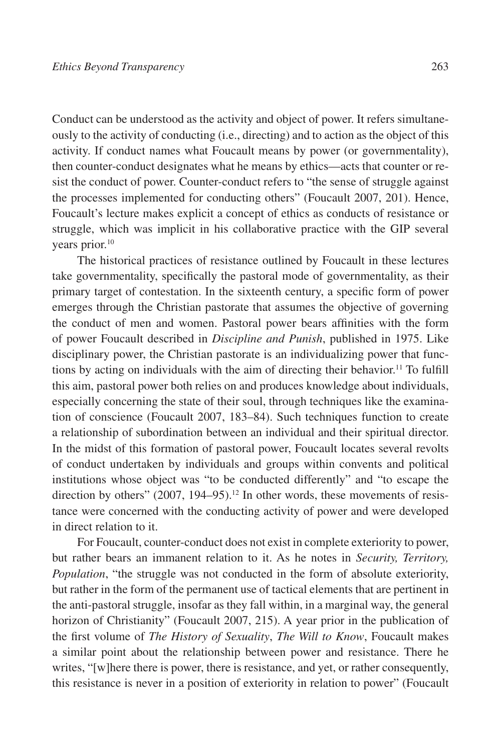Conduct can be understood as the activity and object of power. It refers simultaneously to the activity of conducting (i.e., directing) and to action as the object of this activity. If conduct names what Foucault means by power (or governmentality), then counter-conduct designates what he means by ethics—acts that counter or resist the conduct of power. Counter-conduct refers to "the sense of struggle against the processes implemented for conducting others" (Foucault 2007, 201). Hence, Foucault's lecture makes explicit a concept of ethics as conducts of resistance or struggle, which was implicit in his collaborative practice with the GIP several years prior.<sup>10</sup>

The historical practices of resistance outlined by Foucault in these lectures take governmentality, specifically the pastoral mode of governmentality, as their primary target of contestation. In the sixteenth century, a specific form of power emerges through the Christian pastorate that assumes the objective of governing the conduct of men and women. Pastoral power bears affinities with the form of power Foucault described in *Discipline and Punish*, published in 1975. Like disciplinary power, the Christian pastorate is an individualizing power that functions by acting on individuals with the aim of directing their behavior.<sup>11</sup> To fulfill this aim, pastoral power both relies on and produces knowledge about individuals, especially concerning the state of their soul, through techniques like the examination of conscience (Foucault 2007, 183–84). Such techniques function to create a relationship of subordination between an individual and their spiritual director. In the midst of this formation of pastoral power, Foucault locates several revolts of conduct undertaken by individuals and groups within convents and political institutions whose object was "to be conducted differently" and "to escape the direction by others" (2007, 194–95).<sup>12</sup> In other words, these movements of resistance were concerned with the conducting activity of power and were developed in direct relation to it.

For Foucault, counter-conduct does not exist in complete exteriority to power, but rather bears an immanent relation to it. As he notes in *Security, Territory, Population*, "the struggle was not conducted in the form of absolute exteriority, but rather in the form of the permanent use of tactical elements that are pertinent in the anti-pastoral struggle, insofar as they fall within, in a marginal way, the general horizon of Christianity" (Foucault 2007, 215). A year prior in the publication of the first volume of *The History of Sexuality*, *The Will to Know*, Foucault makes a similar point about the relationship between power and resistance. There he writes, "[w]here there is power, there is resistance, and yet, or rather consequently, this resistance is never in a position of exteriority in relation to power" (Foucault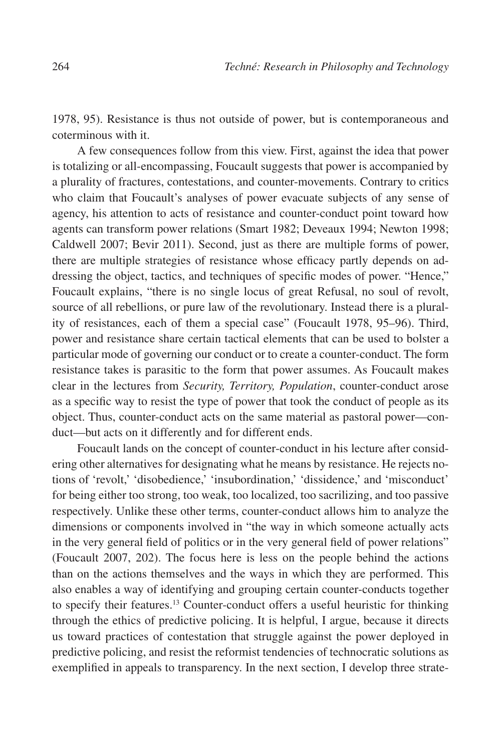1978, 95). Resistance is thus not outside of power, but is contemporaneous and coterminous with it.

A few consequences follow from this view. First, against the idea that power is totalizing or all-encompassing, Foucault suggests that power is accompanied by a plurality of fractures, contestations, and counter-movements. Contrary to critics who claim that Foucault's analyses of power evacuate subjects of any sense of agency, his attention to acts of resistance and counter-conduct point toward how agents can transform power relations (Smart 1982; Deveaux 1994; Newton 1998; Caldwell 2007; Bevir 2011). Second, just as there are multiple forms of power, there are multiple strategies of resistance whose efficacy partly depends on addressing the object, tactics, and techniques of specific modes of power. "Hence," Foucault explains, "there is no single locus of great Refusal, no soul of revolt, source of all rebellions, or pure law of the revolutionary. Instead there is a plurality of resistances, each of them a special case" (Foucault 1978, 95–96). Third, power and resistance share certain tactical elements that can be used to bolster a particular mode of governing our conduct or to create a counter-conduct. The form resistance takes is parasitic to the form that power assumes. As Foucault makes clear in the lectures from *Security, Territory, Population*, counter-conduct arose as a specific way to resist the type of power that took the conduct of people as its object. Thus, counter-conduct acts on the same material as pastoral power—conduct—but acts on it differently and for different ends.

Foucault lands on the concept of counter-conduct in his lecture after considering other alternatives for designating what he means by resistance. He rejects notions of 'revolt,' 'disobedience,' 'insubordination,' 'dissidence,' and 'misconduct' for being either too strong, too weak, too localized, too sacrilizing, and too passive respectively. Unlike these other terms, counter-conduct allows him to analyze the dimensions or components involved in "the way in which someone actually acts in the very general field of politics or in the very general field of power relations" (Foucault 2007, 202). The focus here is less on the people behind the actions than on the actions themselves and the ways in which they are performed. This also enables a way of identifying and grouping certain counter-conducts together to specify their features.13 Counter-conduct offers a useful heuristic for thinking through the ethics of predictive policing. It is helpful, I argue, because it directs us toward practices of contestation that struggle against the power deployed in predictive policing, and resist the reformist tendencies of technocratic solutions as exemplified in appeals to transparency. In the next section, I develop three strate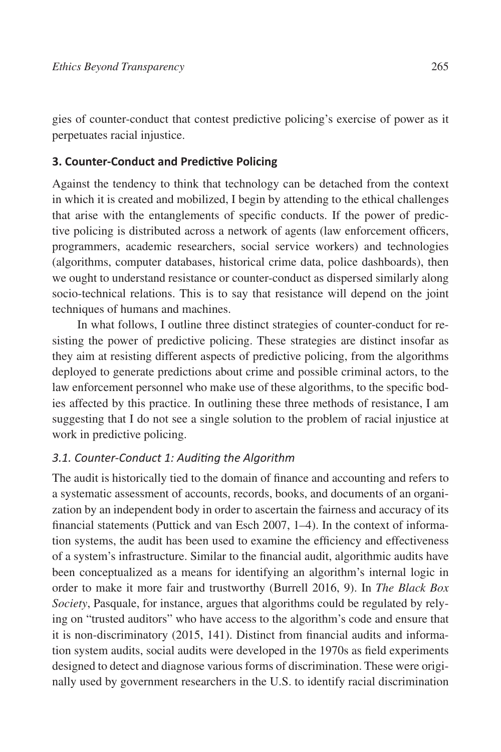gies of counter-conduct that contest predictive policing's exercise of power as it perpetuates racial injustice.

## **3. Counter-Conduct and Predictive Policing**

Against the tendency to think that technology can be detached from the context in which it is created and mobilized, I begin by attending to the ethical challenges that arise with the entanglements of specific conducts. If the power of predictive policing is distributed across a network of agents (law enforcement officers, programmers, academic researchers, social service workers) and technologies (algorithms, computer databases, historical crime data, police dashboards), then we ought to understand resistance or counter-conduct as dispersed similarly along socio-technical relations. This is to say that resistance will depend on the joint techniques of humans and machines.

In what follows, I outline three distinct strategies of counter-conduct for resisting the power of predictive policing. These strategies are distinct insofar as they aim at resisting different aspects of predictive policing, from the algorithms deployed to generate predictions about crime and possible criminal actors, to the law enforcement personnel who make use of these algorithms, to the specific bodies affected by this practice. In outlining these three methods of resistance, I am suggesting that I do not see a single solution to the problem of racial injustice at work in predictive policing.

## *3.1. Counter-Conduct 1: Auditing the Algorithm*

The audit is historically tied to the domain of finance and accounting and refers to a systematic assessment of accounts, records, books, and documents of an organization by an independent body in order to ascertain the fairness and accuracy of its financial statements (Puttick and van Esch 2007, 1–4). In the context of information systems, the audit has been used to examine the efficiency and effectiveness of a system's infrastructure. Similar to the financial audit, algorithmic audits have been conceptualized as a means for identifying an algorithm's internal logic in order to make it more fair and trustworthy (Burrell 2016, 9). In *The Black Box Society*, Pasquale, for instance, argues that algorithms could be regulated by relying on "trusted auditors" who have access to the algorithm's code and ensure that it is non-discriminatory (2015, 141). Distinct from financial audits and information system audits, social audits were developed in the 1970s as field experiments designed to detect and diagnose various forms of discrimination. These were originally used by government researchers in the U.S. to identify racial discrimination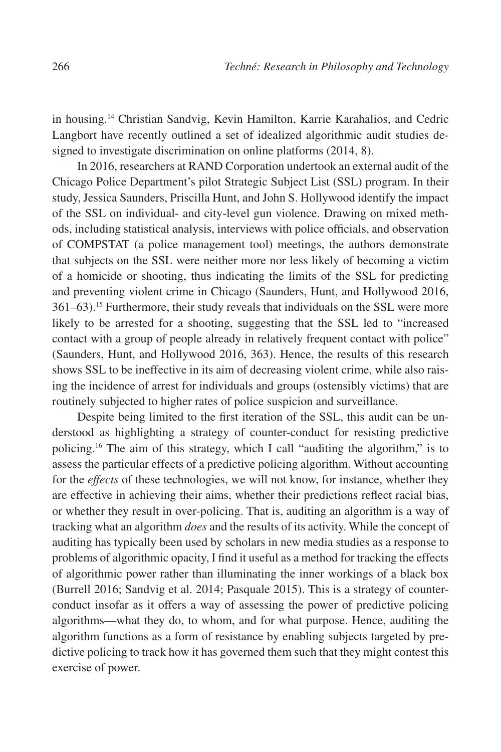in housing.14 Christian Sandvig, Kevin Hamilton, Karrie Karahalios, and Cedric Langbort have recently outlined a set of idealized algorithmic audit studies designed to investigate discrimination on online platforms (2014, 8).

In 2016, researchers at RAND Corporation undertook an external audit of the Chicago Police Department's pilot Strategic Subject List (SSL) program. In their study, Jessica Saunders, Priscilla Hunt, and John S. Hollywood identify the impact of the SSL on individual- and city-level gun violence. Drawing on mixed methods, including statistical analysis, interviews with police officials, and observation of COMPSTAT (a police management tool) meetings, the authors demonstrate that subjects on the SSL were neither more nor less likely of becoming a victim of a homicide or shooting, thus indicating the limits of the SSL for predicting and preventing violent crime in Chicago (Saunders, Hunt, and Hollywood 2016, 361–63).15 Furthermore, their study reveals that individuals on the SSL were more likely to be arrested for a shooting, suggesting that the SSL led to "increased contact with a group of people already in relatively frequent contact with police" (Saunders, Hunt, and Hollywood 2016, 363). Hence, the results of this research shows SSL to be ineffective in its aim of decreasing violent crime, while also raising the incidence of arrest for individuals and groups (ostensibly victims) that are routinely subjected to higher rates of police suspicion and surveillance.

Despite being limited to the first iteration of the SSL, this audit can be understood as highlighting a strategy of counter-conduct for resisting predictive policing.16 The aim of this strategy, which I call "auditing the algorithm," is to assess the particular effects of a predictive policing algorithm. Without accounting for the *effects* of these technologies, we will not know, for instance, whether they are effective in achieving their aims, whether their predictions reflect racial bias, or whether they result in over-policing. That is, auditing an algorithm is a way of tracking what an algorithm *does* and the results of its activity. While the concept of auditing has typically been used by scholars in new media studies as a response to problems of algorithmic opacity, I find it useful as a method for tracking the effects of algorithmic power rather than illuminating the inner workings of a black box (Burrell 2016; Sandvig et al. 2014; Pasquale 2015). This is a strategy of counterconduct insofar as it offers a way of assessing the power of predictive policing algorithms—what they do, to whom, and for what purpose. Hence, auditing the algorithm functions as a form of resistance by enabling subjects targeted by predictive policing to track how it has governed them such that they might contest this exercise of power.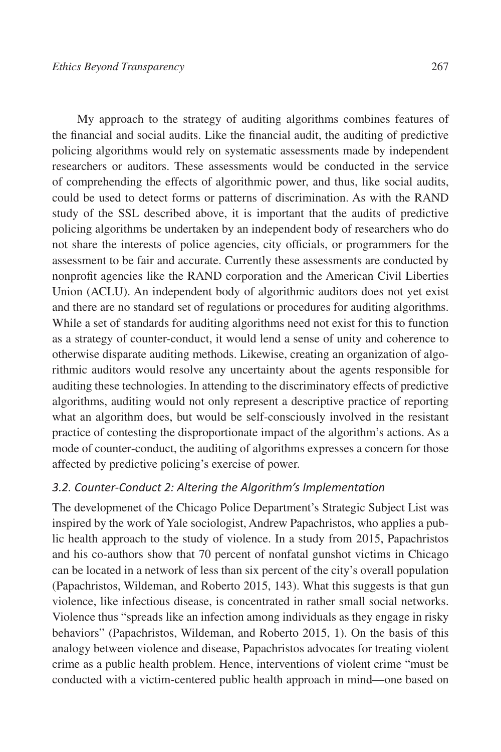My approach to the strategy of auditing algorithms combines features of the financial and social audits. Like the financial audit, the auditing of predictive policing algorithms would rely on systematic assessments made by independent researchers or auditors. These assessments would be conducted in the service of comprehending the effects of algorithmic power, and thus, like social audits, could be used to detect forms or patterns of discrimination. As with the RAND study of the SSL described above, it is important that the audits of predictive policing algorithms be undertaken by an independent body of researchers who do not share the interests of police agencies, city officials, or programmers for the assessment to be fair and accurate. Currently these assessments are conducted by nonprofit agencies like the RAND corporation and the American Civil Liberties Union (ACLU). An independent body of algorithmic auditors does not yet exist and there are no standard set of regulations or procedures for auditing algorithms. While a set of standards for auditing algorithms need not exist for this to function as a strategy of counter-conduct, it would lend a sense of unity and coherence to otherwise disparate auditing methods. Likewise, creating an organization of algorithmic auditors would resolve any uncertainty about the agents responsible for auditing these technologies. In attending to the discriminatory effects of predictive algorithms, auditing would not only represent a descriptive practice of reporting what an algorithm does, but would be self-consciously involved in the resistant practice of contesting the disproportionate impact of the algorithm's actions. As a mode of counter-conduct, the auditing of algorithms expresses a concern for those affected by predictive policing's exercise of power.

# *3.2. Counter-Conduct 2: Altering the Algorithm's Implementation*

The developmenet of the Chicago Police Department's Strategic Subject List was inspired by the work of Yale sociologist, Andrew Papachristos, who applies a public health approach to the study of violence. In a study from 2015, Papachristos and his co-authors show that 70 percent of nonfatal gunshot victims in Chicago can be located in a network of less than six percent of the city's overall population (Papachristos, Wildeman, and Roberto 2015, 143). What this suggests is that gun violence, like infectious disease, is concentrated in rather small social networks. Violence thus "spreads like an infection among individuals as they engage in risky behaviors" (Papachristos, Wildeman, and Roberto 2015, 1). On the basis of this analogy between violence and disease, Papachristos advocates for treating violent crime as a public health problem. Hence, interventions of violent crime "must be conducted with a victim-centered public health approach in mind—one based on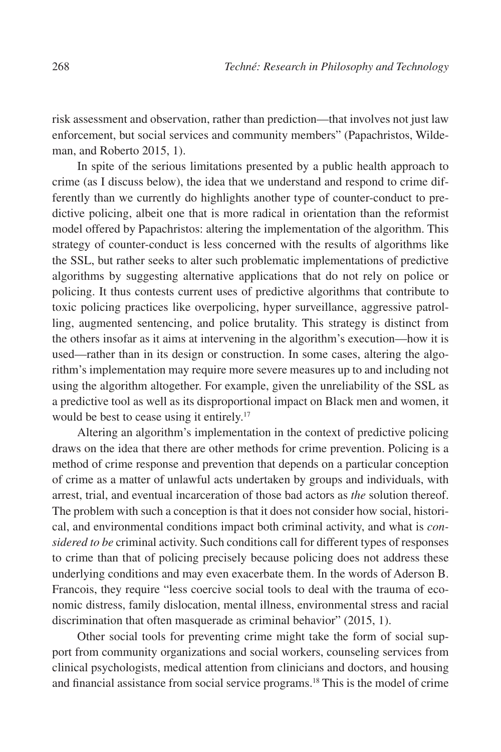risk assessment and observation, rather than prediction—that involves not just law enforcement, but social services and community members" (Papachristos, Wildeman, and Roberto 2015, 1).

In spite of the serious limitations presented by a public health approach to crime (as I discuss below), the idea that we understand and respond to crime differently than we currently do highlights another type of counter-conduct to predictive policing, albeit one that is more radical in orientation than the reformist model offered by Papachristos: altering the implementation of the algorithm. This strategy of counter-conduct is less concerned with the results of algorithms like the SSL, but rather seeks to alter such problematic implementations of predictive algorithms by suggesting alternative applications that do not rely on police or policing. It thus contests current uses of predictive algorithms that contribute to toxic policing practices like overpolicing, hyper surveillance, aggressive patrolling, augmented sentencing, and police brutality. This strategy is distinct from the others insofar as it aims at intervening in the algorithm's execution—how it is used—rather than in its design or construction. In some cases, altering the algorithm's implementation may require more severe measures up to and including not using the algorithm altogether. For example, given the unreliability of the SSL as a predictive tool as well as its disproportional impact on Black men and women, it would be best to cease using it entirely.<sup>17</sup>

Altering an algorithm's implementation in the context of predictive policing draws on the idea that there are other methods for crime prevention. Policing is a method of crime response and prevention that depends on a particular conception of crime as a matter of unlawful acts undertaken by groups and individuals, with arrest, trial, and eventual incarceration of those bad actors as *the* solution thereof. The problem with such a conception is that it does not consider how social, historical, and environmental conditions impact both criminal activity, and what is *considered to be* criminal activity. Such conditions call for different types of responses to crime than that of policing precisely because policing does not address these underlying conditions and may even exacerbate them. In the words of Aderson B. Francois, they require "less coercive social tools to deal with the trauma of economic distress, family dislocation, mental illness, environmental stress and racial discrimination that often masquerade as criminal behavior" (2015, 1).

Other social tools for preventing crime might take the form of social support from community organizations and social workers, counseling services from clinical psychologists, medical attention from clinicians and doctors, and housing and financial assistance from social service programs.18 This is the model of crime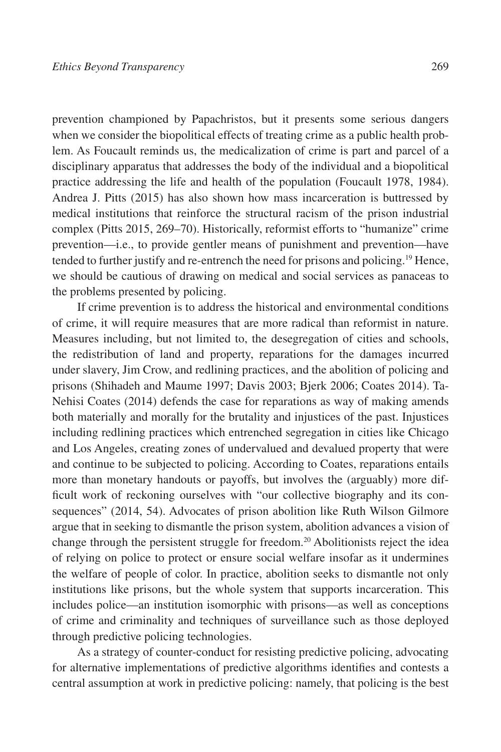prevention championed by Papachristos, but it presents some serious dangers when we consider the biopolitical effects of treating crime as a public health problem. As Foucault reminds us, the medicalization of crime is part and parcel of a disciplinary apparatus that addresses the body of the individual and a biopolitical practice addressing the life and health of the population (Foucault 1978, 1984). Andrea J. Pitts (2015) has also shown how mass incarceration is buttressed by medical institutions that reinforce the structural racism of the prison industrial complex (Pitts 2015, 269–70). Historically, reformist efforts to "humanize" crime prevention—i.e., to provide gentler means of punishment and prevention—have tended to further justify and re-entrench the need for prisons and policing.19 Hence, we should be cautious of drawing on medical and social services as panaceas to the problems presented by policing.

If crime prevention is to address the historical and environmental conditions of crime, it will require measures that are more radical than reformist in nature. Measures including, but not limited to, the desegregation of cities and schools, the redistribution of land and property, reparations for the damages incurred under slavery, Jim Crow, and redlining practices, and the abolition of policing and prisons (Shihadeh and Maume 1997; Davis 2003; Bjerk 2006; Coates 2014). Ta-Nehisi Coates (2014) defends the case for reparations as way of making amends both materially and morally for the brutality and injustices of the past. Injustices including redlining practices which entrenched segregation in cities like Chicago and Los Angeles, creating zones of undervalued and devalued property that were and continue to be subjected to policing. According to Coates, reparations entails more than monetary handouts or payoffs, but involves the (arguably) more difficult work of reckoning ourselves with "our collective biography and its consequences" (2014, 54). Advocates of prison abolition like Ruth Wilson Gilmore argue that in seeking to dismantle the prison system, abolition advances a vision of change through the persistent struggle for freedom.20 Abolitionists reject the idea of relying on police to protect or ensure social welfare insofar as it undermines the welfare of people of color. In practice, abolition seeks to dismantle not only institutions like prisons, but the whole system that supports incarceration. This includes police—an institution isomorphic with prisons—as well as conceptions of crime and criminality and techniques of surveillance such as those deployed through predictive policing technologies.

As a strategy of counter-conduct for resisting predictive policing, advocating for alternative implementations of predictive algorithms identifies and contests a central assumption at work in predictive policing: namely, that policing is the best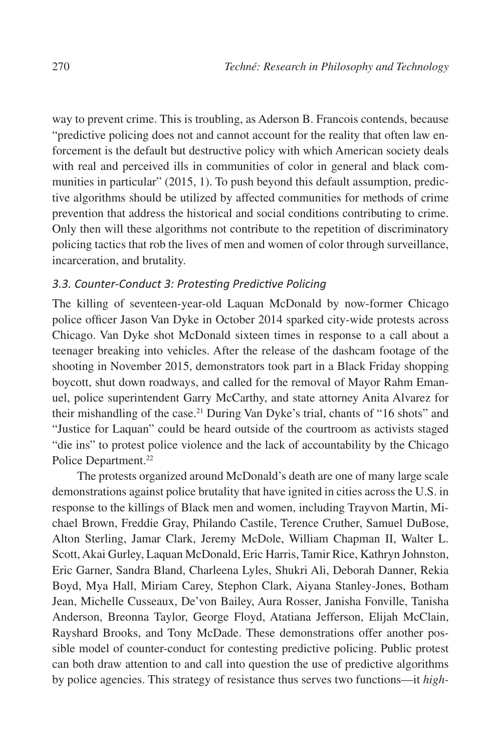way to prevent crime. This is troubling, as Aderson B. Francois contends, because "predictive policing does not and cannot account for the reality that often law enforcement is the default but destructive policy with which American society deals with real and perceived ills in communities of color in general and black communities in particular" (2015, 1). To push beyond this default assumption, predictive algorithms should be utilized by affected communities for methods of crime prevention that address the historical and social conditions contributing to crime. Only then will these algorithms not contribute to the repetition of discriminatory policing tactics that rob the lives of men and women of color through surveillance, incarceration, and brutality.

## *3.3. Counter-Conduct 3: Protesting Predictive Policing*

The killing of seventeen-year-old Laquan McDonald by now-former Chicago police officer Jason Van Dyke in October 2014 sparked city-wide protests across Chicago. Van Dyke shot McDonald sixteen times in response to a call about a teenager breaking into vehicles. After the release of the dashcam footage of the shooting in November 2015, demonstrators took part in a Black Friday shopping boycott, shut down roadways, and called for the removal of Mayor Rahm Emanuel, police superintendent Garry McCarthy, and state attorney Anita Alvarez for their mishandling of the case.<sup>21</sup> During Van Dyke's trial, chants of "16 shots" and "Justice for Laquan" could be heard outside of the courtroom as activists staged "die ins" to protest police violence and the lack of accountability by the Chicago Police Department.<sup>22</sup>

The protests organized around McDonald's death are one of many large scale demonstrations against police brutality that have ignited in cities across the U.S. in response to the killings of Black men and women, including Trayvon Martin, Michael Brown, Freddie Gray, Philando Castile, Terence Cruther, Samuel DuBose, Alton Sterling, Jamar Clark, Jeremy McDole, William Chapman II, Walter L. Scott, Akai Gurley, Laquan McDonald, Eric Harris, Tamir Rice, Kathryn Johnston, Eric Garner, Sandra Bland, Charleena Lyles, Shukri Ali, Deborah Danner, Rekia Boyd, Mya Hall, Miriam Carey, Stephon Clark, Aiyana Stanley-Jones, Botham Jean, Michelle Cusseaux, De'von Bailey, Aura Rosser, Janisha Fonville, Tanisha Anderson, Breonna Taylor, George Floyd, Atatiana Jefferson, Elijah McClain, Rayshard Brooks, and Tony McDade. These demonstrations offer another possible model of counter-conduct for contesting predictive policing. Public protest can both draw attention to and call into question the use of predictive algorithms by police agencies. This strategy of resistance thus serves two functions—it *high-*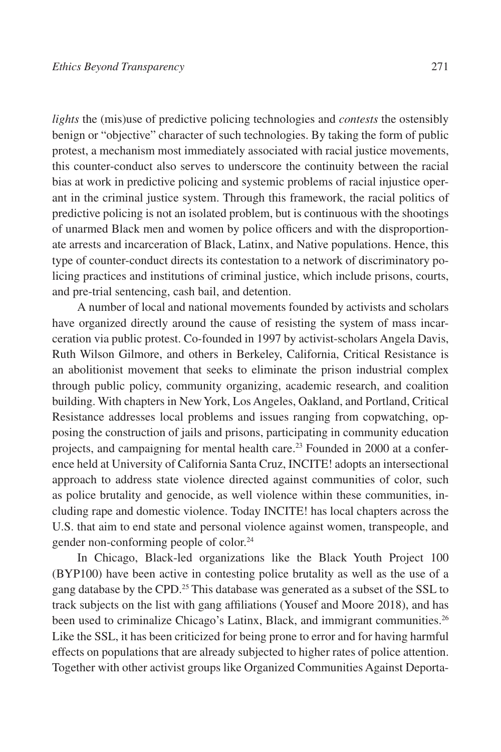*lights* the (mis)use of predictive policing technologies and *contests* the ostensibly benign or "objective" character of such technologies. By taking the form of public protest, a mechanism most immediately associated with racial justice movements, this counter-conduct also serves to underscore the continuity between the racial bias at work in predictive policing and systemic problems of racial injustice operant in the criminal justice system. Through this framework, the racial politics of predictive policing is not an isolated problem, but is continuous with the shootings of unarmed Black men and women by police officers and with the disproportionate arrests and incarceration of Black, Latinx, and Native populations. Hence, this type of counter-conduct directs its contestation to a network of discriminatory policing practices and institutions of criminal justice, which include prisons, courts, and pre-trial sentencing, cash bail, and detention.

A number of local and national movements founded by activists and scholars have organized directly around the cause of resisting the system of mass incarceration via public protest. Co-founded in 1997 by activist-scholars Angela Davis, Ruth Wilson Gilmore, and others in Berkeley, California, Critical Resistance is an abolitionist movement that seeks to eliminate the prison industrial complex through public policy, community organizing, academic research, and coalition building. With chapters in New York, Los Angeles, Oakland, and Portland, Critical Resistance addresses local problems and issues ranging from copwatching, opposing the construction of jails and prisons, participating in community education projects, and campaigning for mental health care.23 Founded in 2000 at a conference held at University of California Santa Cruz, INCITE! adopts an intersectional approach to address state violence directed against communities of color, such as police brutality and genocide, as well violence within these communities, including rape and domestic violence. Today INCITE! has local chapters across the U.S. that aim to end state and personal violence against women, transpeople, and gender non-conforming people of color.24

In Chicago, Black-led organizations like the Black Youth Project 100 (BYP100) have been active in contesting police brutality as well as the use of a gang database by the CPD.<sup>25</sup> This database was generated as a subset of the SSL to track subjects on the list with gang affiliations (Yousef and Moore 2018), and has been used to criminalize Chicago's Latinx, Black, and immigrant communities.<sup>26</sup> Like the SSL, it has been criticized for being prone to error and for having harmful effects on populations that are already subjected to higher rates of police attention. Together with other activist groups like Organized Communities Against Deporta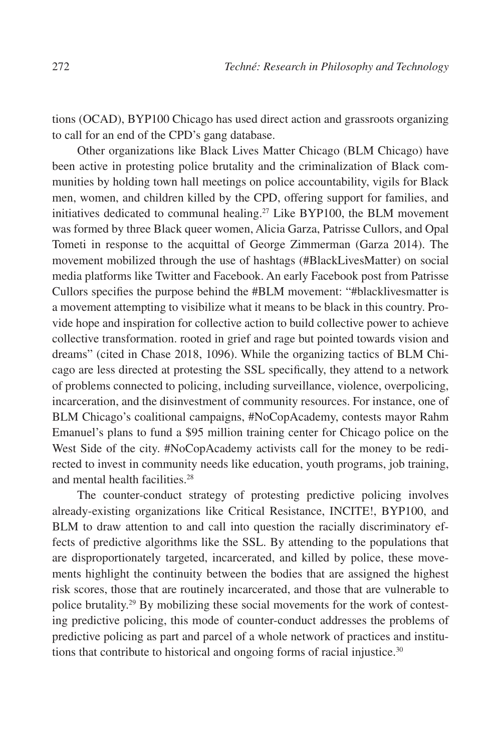tions (OCAD), BYP100 Chicago has used direct action and grassroots organizing to call for an end of the CPD's gang database.

Other organizations like Black Lives Matter Chicago (BLM Chicago) have been active in protesting police brutality and the criminalization of Black communities by holding town hall meetings on police accountability, vigils for Black men, women, and children killed by the CPD, offering support for families, and initiatives dedicated to communal healing.27 Like BYP100, the BLM movement was formed by three Black queer women, Alicia Garza, Patrisse Cullors, and Opal Tometi in response to the acquittal of George Zimmerman (Garza 2014). The movement mobilized through the use of hashtags (#BlackLivesMatter) on social media platforms like Twitter and Facebook. An early Facebook post from Patrisse Cullors specifies the purpose behind the #BLM movement: "#blacklivesmatter is a movement attempting to visibilize what it means to be black in this country. Provide hope and inspiration for collective action to build collective power to achieve collective transformation. rooted in grief and rage but pointed towards vision and dreams" (cited in Chase 2018, 1096). While the organizing tactics of BLM Chicago are less directed at protesting the SSL specifically, they attend to a network of problems connected to policing, including surveillance, violence, overpolicing, incarceration, and the disinvestment of community resources. For instance, one of BLM Chicago's coalitional campaigns, #NoCopAcademy, contests mayor Rahm Emanuel's plans to fund a \$95 million training center for Chicago police on the West Side of the city. #NoCopAcademy activists call for the money to be redirected to invest in community needs like education, youth programs, job training, and mental health facilities.28

The counter-conduct strategy of protesting predictive policing involves already-existing organizations like Critical Resistance, INCITE!, BYP100, and BLM to draw attention to and call into question the racially discriminatory effects of predictive algorithms like the SSL. By attending to the populations that are disproportionately targeted, incarcerated, and killed by police, these movements highlight the continuity between the bodies that are assigned the highest risk scores, those that are routinely incarcerated, and those that are vulnerable to police brutality.29 By mobilizing these social movements for the work of contesting predictive policing, this mode of counter-conduct addresses the problems of predictive policing as part and parcel of a whole network of practices and institutions that contribute to historical and ongoing forms of racial injustice.<sup>30</sup>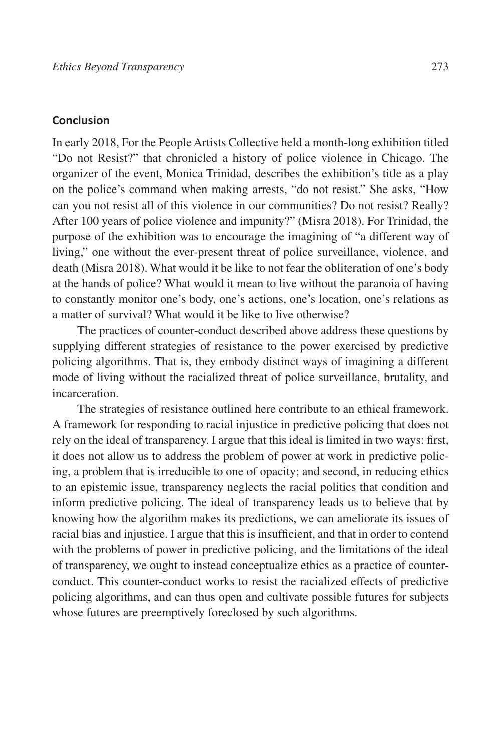#### **Conclusion**

In early 2018, For the People Artists Collective held a month-long exhibition titled "Do not Resist?" that chronicled a history of police violence in Chicago. The organizer of the event, Monica Trinidad, describes the exhibition's title as a play on the police's command when making arrests, "do not resist." She asks, "How can you not resist all of this violence in our communities? Do not resist? Really? After 100 years of police violence and impunity?" (Misra 2018). For Trinidad, the purpose of the exhibition was to encourage the imagining of "a different way of living," one without the ever-present threat of police surveillance, violence, and death (Misra 2018). What would it be like to not fear the obliteration of one's body at the hands of police? What would it mean to live without the paranoia of having to constantly monitor one's body, one's actions, one's location, one's relations as a matter of survival? What would it be like to live otherwise?

The practices of counter-conduct described above address these questions by supplying different strategies of resistance to the power exercised by predictive policing algorithms. That is, they embody distinct ways of imagining a different mode of living without the racialized threat of police surveillance, brutality, and incarceration.

The strategies of resistance outlined here contribute to an ethical framework. A framework for responding to racial injustice in predictive policing that does not rely on the ideal of transparency. I argue that this ideal is limited in two ways: first, it does not allow us to address the problem of power at work in predictive policing, a problem that is irreducible to one of opacity; and second, in reducing ethics to an epistemic issue, transparency neglects the racial politics that condition and inform predictive policing. The ideal of transparency leads us to believe that by knowing how the algorithm makes its predictions, we can ameliorate its issues of racial bias and injustice. I argue that this is insufficient, and that in order to contend with the problems of power in predictive policing, and the limitations of the ideal of transparency, we ought to instead conceptualize ethics as a practice of counterconduct. This counter-conduct works to resist the racialized effects of predictive policing algorithms, and can thus open and cultivate possible futures for subjects whose futures are preemptively foreclosed by such algorithms.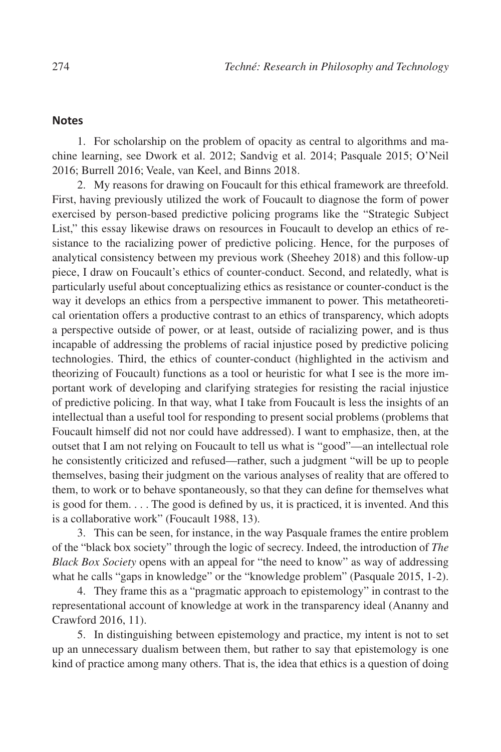#### **Notes**

1. For scholarship on the problem of opacity as central to algorithms and machine learning, see Dwork et al. 2012; Sandvig et al. 2014; Pasquale 2015; O'Neil 2016; Burrell 2016; Veale, van Keel, and Binns 2018.

2. My reasons for drawing on Foucault for this ethical framework are threefold. First, having previously utilized the work of Foucault to diagnose the form of power exercised by person-based predictive policing programs like the "Strategic Subject List," this essay likewise draws on resources in Foucault to develop an ethics of resistance to the racializing power of predictive policing. Hence, for the purposes of analytical consistency between my previous work (Sheehey 2018) and this follow-up piece, I draw on Foucault's ethics of counter-conduct. Second, and relatedly, what is particularly useful about conceptualizing ethics as resistance or counter-conduct is the way it develops an ethics from a perspective immanent to power. This metatheoretical orientation offers a productive contrast to an ethics of transparency, which adopts a perspective outside of power, or at least, outside of racializing power, and is thus incapable of addressing the problems of racial injustice posed by predictive policing technologies. Third, the ethics of counter-conduct (highlighted in the activism and theorizing of Foucault) functions as a tool or heuristic for what I see is the more important work of developing and clarifying strategies for resisting the racial injustice of predictive policing. In that way, what I take from Foucault is less the insights of an intellectual than a useful tool for responding to present social problems (problems that Foucault himself did not nor could have addressed). I want to emphasize, then, at the outset that I am not relying on Foucault to tell us what is "good"—an intellectual role he consistently criticized and refused—rather, such a judgment "will be up to people themselves, basing their judgment on the various analyses of reality that are offered to them, to work or to behave spontaneously, so that they can define for themselves what is good for them. . . . The good is defined by us, it is practiced, it is invented. And this is a collaborative work" (Foucault 1988, 13).

3. This can be seen, for instance, in the way Pasquale frames the entire problem of the "black box society" through the logic of secrecy. Indeed, the introduction of *The Black Box Society* opens with an appeal for "the need to know" as way of addressing what he calls "gaps in knowledge" or the "knowledge problem" (Pasquale 2015, 1-2).

4. They frame this as a "pragmatic approach to epistemology" in contrast to the representational account of knowledge at work in the transparency ideal (Ananny and Crawford 2016, 11).

5. In distinguishing between epistemology and practice, my intent is not to set up an unnecessary dualism between them, but rather to say that epistemology is one kind of practice among many others. That is, the idea that ethics is a question of doing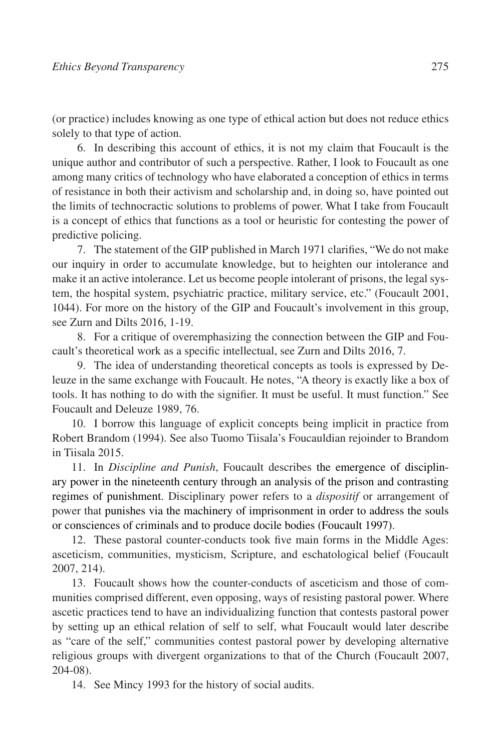(or practice) includes knowing as one type of ethical action but does not reduce ethics solely to that type of action.

6. In describing this account of ethics, it is not my claim that Foucault is the unique author and contributor of such a perspective. Rather, I look to Foucault as one among many critics of technology who have elaborated a conception of ethics in terms of resistance in both their activism and scholarship and, in doing so, have pointed out the limits of technocractic solutions to problems of power. What I take from Foucault is a concept of ethics that functions as a tool or heuristic for contesting the power of predictive policing.

7. The statement of the GIP published in March 1971 clarifies, "We do not make our inquiry in order to accumulate knowledge, but to heighten our intolerance and make it an active intolerance. Let us become people intolerant of prisons, the legal system, the hospital system, psychiatric practice, military service, etc." (Foucault 2001, 1044). For more on the history of the GIP and Foucault's involvement in this group, see Zurn and Dilts 2016, 1-19.

8. For a critique of overemphasizing the connection between the GIP and Foucault's theoretical work as a specific intellectual, see Zurn and Dilts 2016, 7.

9. The idea of understanding theoretical concepts as tools is expressed by Deleuze in the same exchange with Foucault. He notes, "A theory is exactly like a box of tools. It has nothing to do with the signifier. It must be useful. It must function." See Foucault and Deleuze 1989, 76.

10. I borrow this language of explicit concepts being implicit in practice from Robert Brandom (1994). See also Tuomo Tiisala's Foucauldian rejoinder to Brandom in Tiisala 2015.

11. In *Discipline and Punish*, Foucault describes the emergence of disciplinary power in the nineteenth century through an analysis of the prison and contrasting regimes of punishment. Disciplinary power refers to a *dispositif* or arrangement of power that punishes via the machinery of imprisonment in order to address the souls or consciences of criminals and to produce docile bodies (Foucault 1997).

12. These pastoral counter-conducts took five main forms in the Middle Ages: asceticism, communities, mysticism, Scripture, and eschatological belief (Foucault 2007, 214).

13. Foucault shows how the counter-conducts of asceticism and those of communities comprised different, even opposing, ways of resisting pastoral power. Where ascetic practices tend to have an individualizing function that contests pastoral power by setting up an ethical relation of self to self, what Foucault would later describe as "care of the self," communities contest pastoral power by developing alternative religious groups with divergent organizations to that of the Church (Foucault 2007, 204-08).

14. See Mincy 1993 for the history of social audits.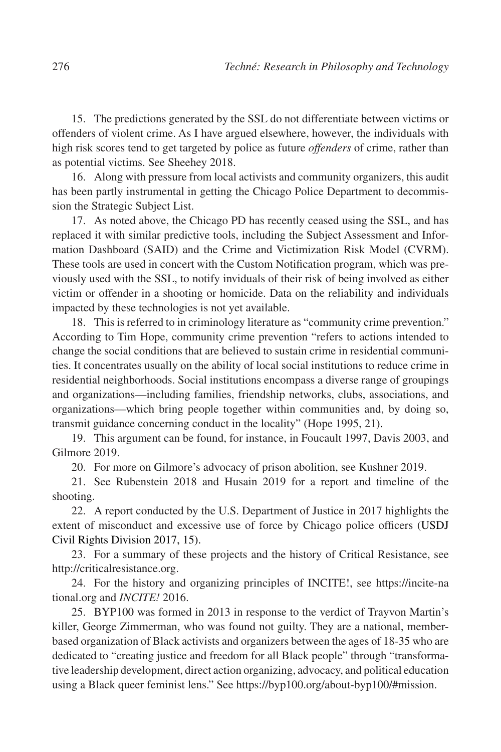15. The predictions generated by the SSL do not differentiate between victims or offenders of violent crime. As I have argued elsewhere, however, the individuals with high risk scores tend to get targeted by police as future *offenders* of crime, rather than as potential victims. See Sheehey 2018.

16. Along with pressure from local activists and community organizers, this audit has been partly instrumental in getting the Chicago Police Department to decommission the Strategic Subject List.

17. As noted above, the Chicago PD has recently ceased using the SSL, and has replaced it with similar predictive tools, including the Subject Assessment and Information Dashboard (SAID) and the Crime and Victimization Risk Model (CVRM). These tools are used in concert with the Custom Notification program, which was previously used with the SSL, to notify inviduals of their risk of being involved as either victim or offender in a shooting or homicide. Data on the reliability and individuals impacted by these technologies is not yet available.

18. This is referred to in criminology literature as "community crime prevention." According to Tim Hope, community crime prevention "refers to actions intended to change the social conditions that are believed to sustain crime in residential communities. It concentrates usually on the ability of local social institutions to reduce crime in residential neighborhoods. Social institutions encompass a diverse range of groupings and organizations—including families, friendship networks, clubs, associations, and organizations—which bring people together within communities and, by doing so, transmit guidance concerning conduct in the locality" (Hope 1995, 21).

19. This argument can be found, for instance, in Foucault 1997, Davis 2003, and Gilmore 2019.

20. For more on Gilmore's advocacy of prison abolition, see Kushner 2019.

21. See Rubenstein 2018 and Husain 2019 for a report and timeline of the shooting.

22. A report conducted by the U.S. Department of Justice in 2017 highlights the extent of misconduct and excessive use of force by Chicago police officers (USDJ Civil Rights Division 2017, 15).

23. For a summary of these projects and the history of Critical Resistance, see http://criticalresistance.org.

24. For the history and organizing principles of INCITE!, see https://incite-na tional.org and *INCITE!* 2016.

25. BYP100 was formed in 2013 in response to the verdict of Trayvon Martin's killer, George Zimmerman, who was found not guilty. They are a national, memberbased organization of Black activists and organizers between the ages of 18-35 who are dedicated to "creating justice and freedom for all Black people" through "transformative leadership development, direct action organizing, advocacy, and political education using a Black queer feminist lens." See https://byp100.org/about-byp100/#mission.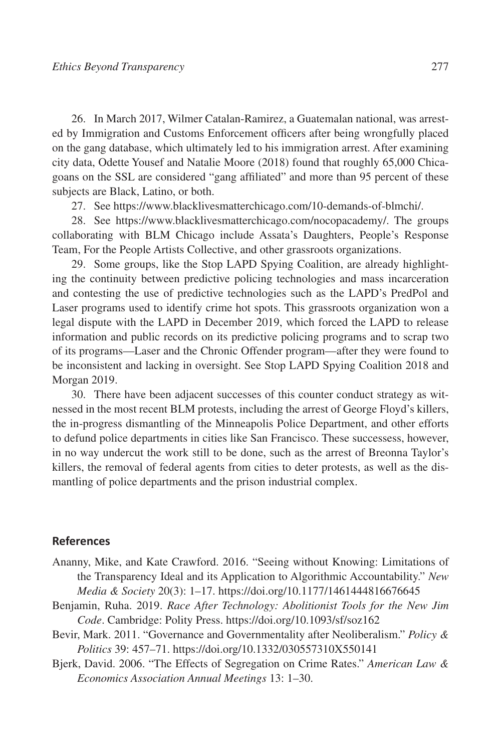26. In March 2017, Wilmer Catalan-Ramirez, a Guatemalan national, was arrested by Immigration and Customs Enforcement officers after being wrongfully placed on the gang database, which ultimately led to his immigration arrest. After examining city data, Odette Yousef and Natalie Moore (2018) found that roughly 65,000 Chicagoans on the SSL are considered "gang affiliated" and more than 95 percent of these subjects are Black, Latino, or both.

27. See https://www.blacklivesmatterchicago.com/10-demands-of-blmchi/.

28. See https://www.blacklivesmatterchicago.com/nocopacademy/. The groups collaborating with BLM Chicago include Assata's Daughters, People's Response Team, For the People Artists Collective, and other grassroots organizations.

29. Some groups, like the Stop LAPD Spying Coalition, are already highlighting the continuity between predictive policing technologies and mass incarceration and contesting the use of predictive technologies such as the LAPD's PredPol and Laser programs used to identify crime hot spots. This grassroots organization won a legal dispute with the LAPD in December 2019, which forced the LAPD to release information and public records on its predictive policing programs and to scrap two of its programs—Laser and the Chronic Offender program—after they were found to be inconsistent and lacking in oversight. See Stop LAPD Spying Coalition 2018 and Morgan 2019.

30. There have been adjacent successes of this counter conduct strategy as witnessed in the most recent BLM protests, including the arrest of George Floyd's killers, the in-progress dismantling of the Minneapolis Police Department, and other efforts to defund police departments in cities like San Francisco. These successess, however, in no way undercut the work still to be done, such as the arrest of Breonna Taylor's killers, the removal of federal agents from cities to deter protests, as well as the dismantling of police departments and the prison industrial complex.

### **References**

- Ananny, Mike, and Kate Crawford. 2016. "Seeing without Knowing: Limitations of the Transparency Ideal and its Application to Algorithmic Accountability." *New Media & Society* 20(3): 1–17. https://doi.org/10.1177/1461444816676645
- Benjamin, Ruha. 2019. *Race After Technology: Abolitionist Tools for the New Jim Code*. Cambridge: Polity Press. https://doi.org/10.1093/sf/soz162
- Bevir, Mark. 2011. "Governance and Governmentality after Neoliberalism." *Policy & Politics* 39: 457–71. https://doi.org/10.1332/030557310X550141
- Bjerk, David. 2006. "The Effects of Segregation on Crime Rates." *American Law & Economics Association Annual Meetings* 13: 1–30.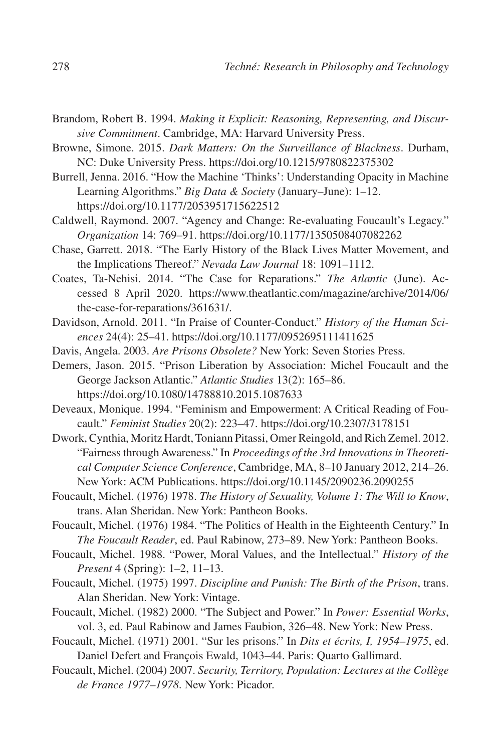- Brandom, Robert B. 1994. *Making it Explicit: Reasoning, Representing, and Discursive Commitment*. Cambridge, MA: Harvard University Press.
- Browne, Simone. 2015. *Dark Matters: On the Surveillance of Blackness*. Durham, NC: Duke University Press. https://doi.org/10.1215/9780822375302
- Burrell, Jenna. 2016. "How the Machine 'Thinks': Understanding Opacity in Machine Learning Algorithms." *Big Data & Society* (January–June): 1–12. https://doi.org/10.1177/2053951715622512
- Caldwell, Raymond. 2007. "Agency and Change: Re-evaluating Foucault's Legacy." *Organization* 14: 769–91. https://doi.org/10.1177/1350508407082262
- Chase, Garrett. 2018. "The Early History of the Black Lives Matter Movement, and the Implications Thereof." *Nevada Law Journal* 18: 1091–1112.
- Coates, Ta-Nehisi. 2014. "The Case for Reparations." *The Atlantic* (June). Accessed 8 April 2020. https://www.theatlantic.com/magazine/archive/2014/06/ the-case-for-reparations/361631/.
- Davidson, Arnold. 2011. "In Praise of Counter-Conduct." *History of the Human Sciences* 24(4): 25–41. https://doi.org/10.1177/0952695111411625
- Davis, Angela. 2003. *Are Prisons Obsolete?* New York: Seven Stories Press.
- Demers, Jason. 2015. "Prison Liberation by Association: Michel Foucault and the George Jackson Atlantic." *Atlantic Studies* 13(2): 165–86. https://doi.org/10.1080/14788810.2015.1087633
- Deveaux, Monique. 1994. "Feminism and Empowerment: A Critical Reading of Foucault." *Feminist Studies* 20(2): 223–47. https://doi.org/10.2307/3178151
- Dwork, Cynthia, Moritz Hardt, Toniann Pitassi, Omer Reingold, and Rich Zemel. 2012. "Fairness through Awareness." In *Proceedings of the 3rd Innovations in Theoretical Computer Science Conference*, Cambridge, MA, 8–10 January 2012, 214–26. New York: ACM Publications. https://doi.org/10.1145/2090236.2090255
- Foucault, Michel. (1976) 1978. *The History of Sexuality, Volume 1: The Will to Know*, trans. Alan Sheridan. New York: Pantheon Books.
- Foucault, Michel. (1976) 1984. "The Politics of Health in the Eighteenth Century." In *The Foucault Reader*, ed. Paul Rabinow, 273–89. New York: Pantheon Books.
- Foucault, Michel. 1988. "Power, Moral Values, and the Intellectual." *History of the Present* 4 (Spring): 1–2, 11–13.
- Foucault, Michel. (1975) 1997. *Discipline and Punish: The Birth of the Prison*, trans. Alan Sheridan. New York: Vintage.
- Foucault, Michel. (1982) 2000. "The Subject and Power." In *Power: Essential Works*, vol. 3, ed. Paul Rabinow and James Faubion, 326–48. New York: New Press.
- Foucault, Michel. (1971) 2001. "Sur les prisons." In *Dits et écrits, I, 1954–1975*, ed. Daniel Defert and François Ewald, 1043–44. Paris: Quarto Gallimard.
- Foucault, Michel. (2004) 2007. *Security, Territory, Population: Lectures at the Collège de France 1977–1978*. New York: Picador.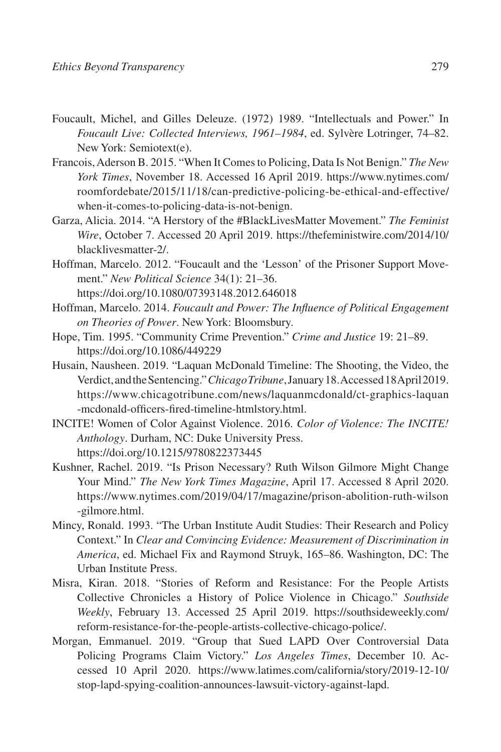- Foucault, Michel, and Gilles Deleuze. (1972) 1989. "Intellectuals and Power." In *Foucault Live: Collected Interviews, 1961–1984*, ed. Sylvère Lotringer, 74–82. New York: Semiotext(e).
- Francois, Aderson B. 2015. "When It Comes to Policing, Data Is Not Benign." *The New York Times*, November 18. Accessed 16 April 2019. https://www.nytimes.com/ roomfordebate/2015/11/18/can-predictive-policing-be-ethical-and-effective/ when-it-comes-to-policing-data-is-not-benign.
- Garza, Alicia. 2014. "A Herstory of the #BlackLivesMatter Movement." *The Feminist Wire*, October 7. Accessed 20 April 2019. https://thefeministwire.com/2014/10/ blacklivesmatter-2/.
- Hoffman, Marcelo. 2012. "Foucault and the 'Lesson' of the Prisoner Support Movement." *New Political Science* 34(1): 21–36. https://doi.org/10.1080/07393148.2012.646018
- Hoffman, Marcelo. 2014. *Foucault and Power: The Influence of Political Engagement on Theories of Power*. New York: Bloomsbury.
- Hope, Tim. 1995. "Community Crime Prevention." *Crime and Justice* 19: 21–89. https://doi.org/10.1086/449229
- Husain, Nausheen. 2019. "Laquan McDonald Timeline: The Shooting, the Video, the Verdict, and the Sentencing." *Chicago Tribune*, January 18. Accessed 18 April 2019. https://www.chicagotribune.com/news/laquanmcdonald/ct-graphics-laquan -mcdonald-officers-fired-timeline-htmlstory.html.
- INCITE! Women of Color Against Violence. 2016. *Color of Violence: The INCITE! Anthology*. Durham, NC: Duke University Press. https://doi.org/10.1215/9780822373445
- Kushner, Rachel. 2019. "Is Prison Necessary? Ruth Wilson Gilmore Might Change Your Mind." *The New York Times Magazine*, April 17. Accessed 8 April 2020. https://www.nytimes.com/2019/04/17/magazine/prison-abolition-ruth-wilson -gilmore.html.
- Mincy, Ronald. 1993. "The Urban Institute Audit Studies: Their Research and Policy Context." In *Clear and Convincing Evidence: Measurement of Discrimination in America*, ed. Michael Fix and Raymond Struyk, 165–86. Washington, DC: The Urban Institute Press.
- Misra, Kiran. 2018. "Stories of Reform and Resistance: For the People Artists Collective Chronicles a History of Police Violence in Chicago." *Southside Weekly*, February 13. Accessed 25 April 2019. https://southsideweekly.com/ reform-resistance-for-the-people-artists-collective-chicago-police/.
- Morgan, Emmanuel. 2019. "Group that Sued LAPD Over Controversial Data Policing Programs Claim Victory." *Los Angeles Times*, December 10. Accessed 10 April 2020. https://www.latimes.com/california/story/2019-12-10/ stop-lapd-spying-coalition-announces-lawsuit-victory-against-lapd.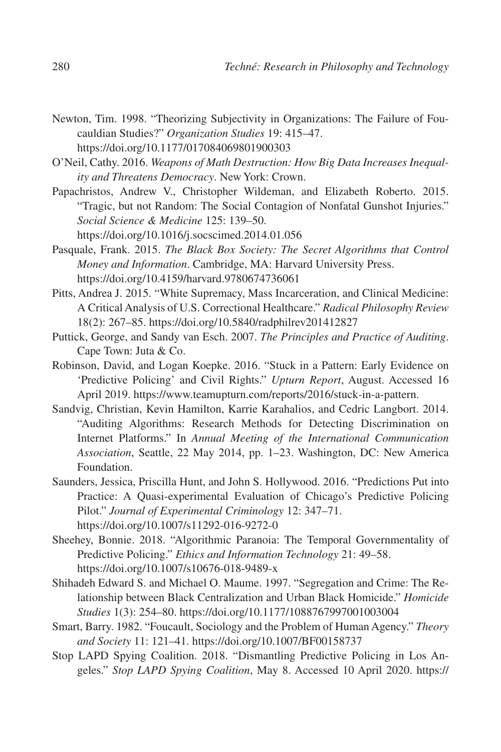- Newton, Tim. 1998. "Theorizing Subjectivity in Organizations: The Failure of Foucauldian Studies?" *Organization Studies* 19: 415–47. https://doi.org/10.1177/017084069801900303
- O'Neil, Cathy. 2016. *Weapons of Math Destruction: How Big Data Increases Inequality and Threatens Democracy*. New York: Crown.
- Papachristos, Andrew V., Christopher Wildeman, and Elizabeth Roberto. 2015. "Tragic, but not Random: The Social Contagion of Nonfatal Gunshot Injuries." *Social Science & Medicine* 125: 139–50.
	- https://doi.org/10.1016/j.socscimed.2014.01.056
- Pasquale, Frank. 2015. *The Black Box Society: The Secret Algorithms that Control Money and Information*. Cambridge, MA: Harvard University Press. https://doi.org/10.4159/harvard.9780674736061
- Pitts, Andrea J. 2015. "White Supremacy, Mass Incarceration, and Clinical Medicine: A Critical Analysis of U.S. Correctional Healthcare." *Radical Philosophy Review*  18(2): 267–85. https://doi.org/10.5840/radphilrev201412827
- Puttick, George, and Sandy van Esch. 2007. *The Principles and Practice of Auditing*. Cape Town: Juta & Co.
- Robinson, David, and Logan Koepke. 2016. "Stuck in a Pattern: Early Evidence on 'Predictive Policing' and Civil Rights." *Upturn Report*, August. Accessed 16 April 2019. https://www.teamupturn.com/reports/2016/stuck-in-a-pattern.
- Sandvig, Christian, Kevin Hamilton, Karrie Karahalios, and Cedric Langbort. 2014. "Auditing Algorithms: Research Methods for Detecting Discrimination on Internet Platforms." In *Annual Meeting of the International Communication Association*, Seattle, 22 May 2014, pp. 1–23. Washington, DC: New America Foundation.
- Saunders, Jessica, Priscilla Hunt, and John S. Hollywood. 2016. "Predictions Put into Practice: A Quasi-experimental Evaluation of Chicago's Predictive Policing Pilot." *Journal of Experimental Criminology* 12: 347–71. https://doi.org/10.1007/s11292-016-9272-0
- Sheehey, Bonnie. 2018. "Algorithmic Paranoia: The Temporal Governmentality of Predictive Policing." *Ethics and Information Technology* 21: 49–58. https://doi.org/10.1007/s10676-018-9489-x
- Shihadeh Edward S. and Michael O. Maume. 1997. "Segregation and Crime: The Relationship between Black Centralization and Urban Black Homicide." *Homicide Studies* 1(3): 254–80. https://doi.org/10.1177/1088767997001003004
- Smart, Barry. 1982. "Foucault, Sociology and the Problem of Human Agency." *Theory and Society* 11: 121–41. https://doi.org/10.1007/BF00158737
- Stop LAPD Spying Coalition. 2018. "Dismantling Predictive Policing in Los Angeles." *Stop LAPD Spying Coalition*, May 8. Accessed 10 April 2020. https://